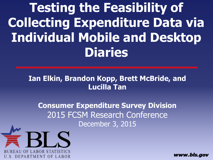**Testing the Feasibility of Collecting Expenditure Data via Individual Mobile and Desktop Diaries**

#### **Ian Elkin, Brandon Kopp, Brett McBride, and Lucilla Tan**

**Consumer Expenditure Survey Division** 2015 FCSM Research Conference December 3, 2015



www.bls.aov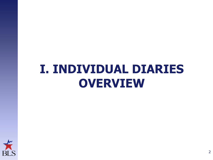# **I. INDIVIDUAL DIARIES OVERVIEW**

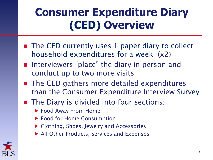# **Consumer Expenditure Diary (CED) Overview**

- The CED currently uses 1 paper diary to collect household expenditures for a week (x2)
- Interviewers "place" the diary in-person and conduct up to two more visits
- The CED gathers more detailed expenditures than the Consumer Expenditure Interview Survey
- The Diary is divided into four sections:
	- ▶ Food Away From Home
	- ▶ Food for Home Consumption
	- Clothing, Shoes, Jewelry and Accessories
	- ▶ All Other Products, Services and Expenses

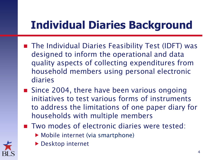## **Individual Diaries Background**

- The Individual Diaries Feasibility Test (IDFT) was designed to inform the operational and data quality aspects of collecting expenditures from household members using personal electronic diaries
- Since 2004, there have been various ongoing initiatives to test various forms of instruments to address the limitations of one paper diary for households with multiple members
- Two modes of electronic diaries were tested:
	- ▶ Mobile internet (via smartphone)



**Desktop internet**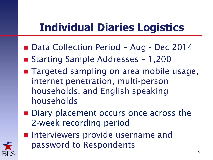## **Individual Diaries Logistics**

- Data Collection Period Aug Dec 2014
- Starting Sample Addresses 1,200
- Targeted sampling on area mobile usage, internet penetration, multi-person households, and English speaking households
- Diary placement occurs once across the 2-week recording period
- **Interviewers provide username and** password to Respondents

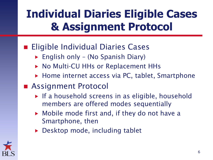## **Individual Diaries Eligible Cases & Assignment Protocol**

#### **Eligible Individual Diaries Cases**

- ► English only (No Spanish Diary)
- ▶ No Multi-CU HHs or Replacement HHs
- ▶ Home internet access via PC, tablet, Smartphone
- Assignment Protocol
	- $\triangleright$  If a household screens in as eligible, household members are offered modes sequentially
	- ▶ Mobile mode first and, if they do not have a Smartphone, then
	- ▶ Desktop mode, including tablet

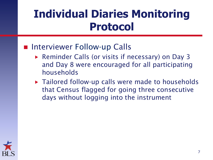### **Individual Diaries Monitoring Protocol**

#### ■ Interviewer Follow-up Calls

- ▶ Reminder Calls (or visits if necessary) on Day 3 and Day 8 were encouraged for all participating households
- ▶ Tailored follow-up calls were made to households that Census flagged for going three consecutive days without logging into the instrument

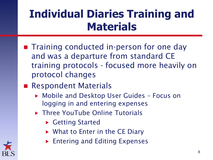## **Individual Diaries Training and Materials**

- **The Training conducted in-person for one day** and was a departure from standard CE training protocols - focused more heavily on protocol changes
- **Respondent Materials** 
	- Mobile and Desktop User Guides Focus on logging in and entering expenses
	- ▶ Three YouTube Online Tutorials
		- ▶ Getting Started
		- ▶ What to Enter in the CE Diary
		- **Entering and Editing Expenses**

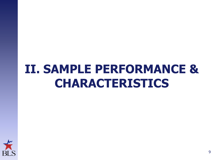# **II. SAMPLE PERFORMANCE & CHARACTERISTICS**

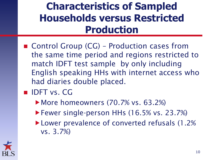#### **Characteristics of Sampled Households versus Restricted Production**

- Control Group (CG) Production cases from the same time period and regions restricted to match IDFT test sample by only including English speaking HHs with internet access who had diaries double placed.
- **IDET vs. CG** 
	- ▶ More homeowners (70.7% vs. 63.2%)
	- Fewer single-person HHs (16.5% vs. 23.7%)
	- ▶ Lower prevalence of converted refusals (1.2% vs. 3.7%)

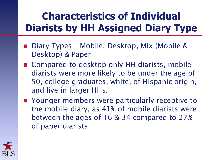#### **Characteristics of Individual Diarists by HH Assigned Diary Type**

- Diary Types Mobile, Desktop, Mix (Mobile & Desktop) & Paper
- Compared to desktop-only HH diarists, mobile diarists were more likely to be under the age of 50, college graduates, white, of Hispanic origin, and live in larger HHs.
- Younger members were particularly receptive to the mobile diary, as 41% of mobile diarists were between the ages of 16 & 34 compared to 27% of paper diarists.

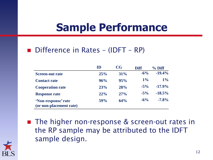#### **Sample Performance**

#### ■ Difference in Rates – (IDFT – RP)

|                                                | ID  | $\bf{C}$ | <b>Diff</b> | $%$ Diff  |
|------------------------------------------------|-----|----------|-------------|-----------|
| <b>Screen-out rate</b>                         | 25% | 31%      | $-6\%$      | $-19.4%$  |
| <b>Contact rate</b>                            | 96% | 95%      | $1\%$       | $1\%$     |
| <b>Cooperation rate</b>                        | 23% | 28%      | $-5\%$      | $-17.9\%$ |
| <b>Response rate</b>                           | 22% | 27%      | $-5\%$      | $-18.5%$  |
| 'Non-response' rate<br>(or non-placement rate) | 59% | 64%      | $-6\%$      | $-7.8%$   |

■ The higher non-response & screen-out rates in the RP sample may be attributed to the IDFT sample design.

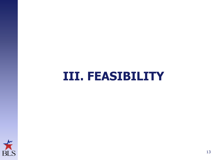### **III. FEASIBILITY**

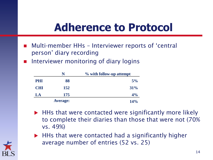#### **Adherence to Protocol**

- Multi-member HHs Interviewer reports of 'central person' diary recording
- **Interviewer monitoring of diary logins**

| N          |                 | % with follow-up attempt |
|------------|-----------------|--------------------------|
| <b>PHI</b> | 88              | 5%                       |
| <b>CHI</b> | 152             | 31%                      |
| LA         | 175             | 4%                       |
|            | <b>Average:</b> | 14%                      |

- ▶ HHs that were contacted were significantly more likely to complete their diaries than those that were not (70% vs. 49%)
- HHs that were contacted had a significantly higher average number of entries (52 vs. 25)

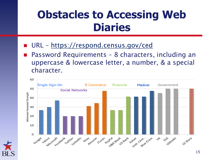#### **Obstacles to Accessing Web Diaries**

- URL <https://respond.census.gov/ced>
- Password Requirements 8 characters, including an uppercase & lowercase letter, a number, & a special character.



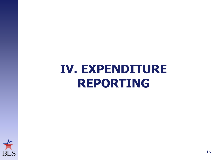# **IV. EXPENDITURE REPORTING**

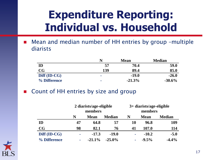### **Expenditure Reporting: Individual vs. Household**

■ Mean and median number of HH entries by group -multiple diarists

|                        |              | <b>Mean</b> | <b>Median</b> |
|------------------------|--------------|-------------|---------------|
| ID                     | 57           | 70.4        | 59.0          |
| $\mathbf{C}\mathbf{G}$ | 139          | 89.4        | 85.0          |
| Diff (ID-CG)           | $\mathbf{r}$ | $-19.0$     | $-26.0$       |
| % Difference           | ۰            | $-21.3%$    | $-30.6\%$     |

■ Count of HH entries by size and group

|              | 2 diarists/age-eligible<br>members |             | $3+$ diarists/age-eligible<br>members |    |             |               |
|--------------|------------------------------------|-------------|---------------------------------------|----|-------------|---------------|
|              | N                                  | <b>Mean</b> | <b>Median</b>                         | N  | <b>Mean</b> | <b>Median</b> |
| ID           | 47                                 | 64.8        | 57                                    | 10 | 96.8        | 109           |
| CG           | 98                                 | 82.1        | 76                                    | 41 | 107.0       | 114           |
| Diff (ID-CG) | <b>COL</b>                         | $-17.3$     | $-19.0$                               | ×  | $-10.2$     | $-5.0$        |
| % Difference | <b>COL</b>                         | $-21.1%$    | $-25.0\%$                             | ×  | $-9.5%$     | $-4.4%$       |

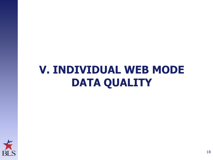### **V. INDIVIDUAL WEB MODE DATA QUALITY**

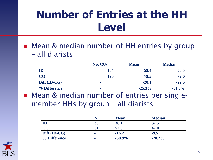### **Number of Entries at the HH Level**

■ Mean & median number of HH entries by group – all diarists

|                        | <b>No. CUs</b> | <b>Mean</b> | <b>Median</b> |
|------------------------|----------------|-------------|---------------|
| $\mathbf{ID}$          | 164            | 59.4        | 50.5          |
| $\mathbf{C}\mathbf{G}$ | <b>190</b>     | 79.5        | 72.0          |
| Diff (ID-CG)           | <b>COL</b>     | $-20.1$     | $-22.5$       |
| % Difference           | <b>COL</b>     | $-25.3%$    | $-31.3%$      |

■ Mean & median number of entries per singlemember HHs by group – all diarists

|              | N          | <b>Mean</b> | <b>Median</b> |  |
|--------------|------------|-------------|---------------|--|
| ID           | 30         | 36.1        | 37.5          |  |
| CG           | 51         | 52.3        | 47.0          |  |
| Diff (ID-CG) | <b>COL</b> | $-16.2$     | $-9.5$        |  |
| % Difference | <b>COL</b> | $-30.9%$    | $-20.2\%$     |  |

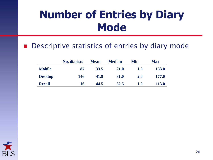### **Number of Entries by Diary Mode**

#### ■ Descriptive statistics of entries by diary mode

|                | <b>No.</b> diarists | <b>Mean</b> | <b>Median</b> | Min        | <b>Max</b>   |
|----------------|---------------------|-------------|---------------|------------|--------------|
| <b>Mobile</b>  | 87                  | 33.5        | 21.0          | 1.0        | <b>133.0</b> |
| <b>Desktop</b> | 146                 | 41.9        | <b>31.0</b>   | <b>2.0</b> | 177.0        |
| <b>Recall</b>  | 16                  | 44.5        | 32.5          | 1.0        | <b>113.0</b> |

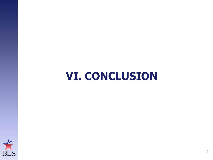#### **VI. CONCLUSION**

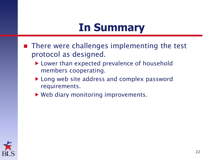#### **In Summary**

- There were challenges implementing the test protocol as designed.
	- ▶ Lower than expected prevalence of household members cooperating.
	- ▶ Long web site address and complex password requirements.
	- ▶ Web diary monitoring improvements.

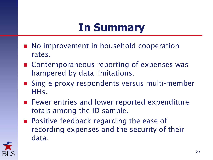### **In Summary**

- **No improvement in household cooperation** rates.
- Contemporaneous reporting of expenses was hampered by data limitations.
- Single proxy respondents versus multi-member HHs.
- **Fewer entries and lower reported expenditure** totals among the ID sample.
- **Positive feedback regarding the ease of** recording expenses and the security of their data.